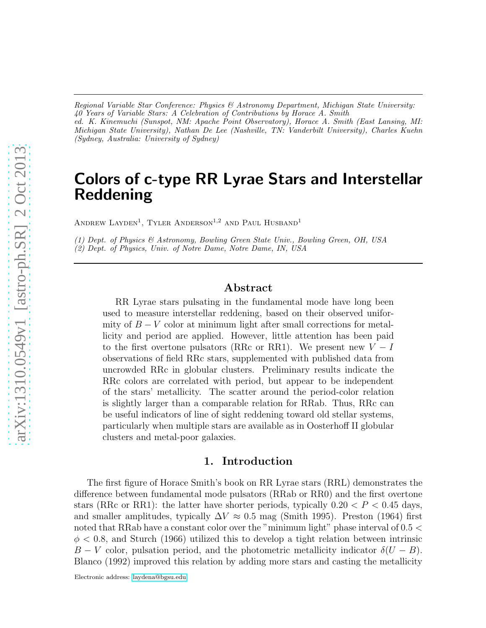*Regional Variable Star Conference: Physics & Astronomy Department, Michigan State University: 40 Years of Variable Stars: A Celebration of Contributions by Horace A. Smith ed. K. Kinemuchi (Sunspot, NM: Apache Point Observatory), Horace A. Smith (East Lansing, MI: Michigan State University), Nathan De Lee (Nashville, TN: Vanderbilt University), Charles Kuehn (Sydney, Australia: University of Sydney)*

# Colors of c-type RR Lyrae Stars and Interstellar Reddening

ANDREW LAYDEN<sup>1</sup>, TYLER ANDERSON<sup>1,2</sup> AND PAUL HUSBAND<sup>1</sup>

*(1) Dept. of Physics & Astronomy, Bowling Green State Univ., Bowling Green, OH, USA (2) Dept. of Physics, Univ. of Notre Dame, Notre Dame, IN, USA*

# Abstract

RR Lyrae stars pulsating in the fundamental mode have long been used to measure interstellar reddening, based on their observed uniformity of  $B - V$  color at minimum light after small corrections for metallicity and period are applied. However, little attention has been paid to the first overtone pulsators (RRc or RR1). We present new  $V-I$ observations of field RRc stars, supplemented with published data from uncrowded RRc in globular clusters. Preliminary results indicate the RRc colors are correlated with period, but appear to be independent of the stars' metallicity. The scatter around the period-color relation is slightly larger than a comparable relation for RRab. Thus, RRc can be useful indicators of line of sight reddening toward old stellar systems, particularly when multiple stars are available as in Oosterhoff II globular clusters and metal-poor galaxies.

### 1. Introduction

The first figure of Horace Smith's book on RR Lyrae stars (RRL) demonstrates the difference between fundamental mode pulsators (RRab or RR0) and the first overtone stars (RRc or RR1): the latter have shorter periods, typically  $0.20 < P < 0.45$  days, and smaller amplitudes, typically  $\Delta V \approx 0.5$  mag (Smith 1995). Preston (1964) first noted that RRab have a constant color over the "minimum light" phase interval of  $0.5 <$  $\phi$  < 0.8, and Sturch (1966) utilized this to develop a tight relation between intrinsic  $B - V$  color, pulsation period, and the photometric metallicity indicator  $\delta(U - B)$ . Blanco (1992) improved this relation by adding more stars and casting the metallicity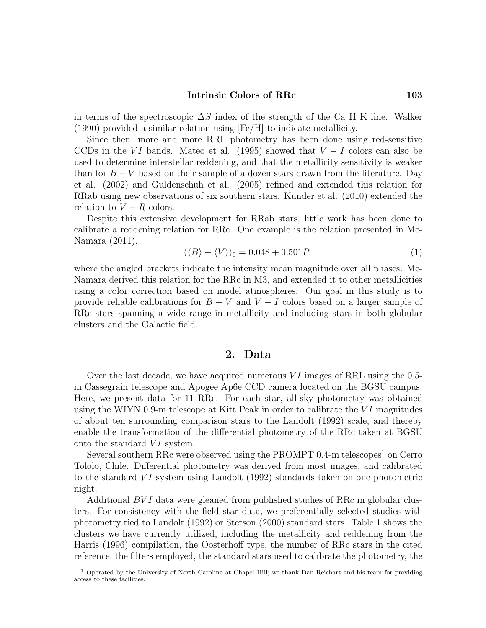#### Intrinsic Colors of RRc 103

in terms of the spectroscopic  $\Delta S$  index of the strength of the Ca II K line. Walker (1990) provided a similar relation using [Fe/H] to indicate metallicity.

Since then, more and more RRL photometry has been done using red-sensitive CCDs in the VI bands. Mateo et al. (1995) showed that  $V-I$  colors can also be used to determine interstellar reddening, and that the metallicity sensitivity is weaker than for  $B - V$  based on their sample of a dozen stars drawn from the literature. Day et al. (2002) and Guldenschuh et al. (2005) refined and extended this relation for RRab using new observations of six southern stars. Kunder et al. (2010) extended the relation to  $V - R$  colors.

Despite this extensive development for RRab stars, little work has been done to calibrate a reddening relation for RRc. One example is the relation presented in Mc-Namara (2011),

$$
(\langle B \rangle - \langle V \rangle)_0 = 0.048 + 0.501P,\tag{1}
$$

where the angled brackets indicate the intensity mean magnitude over all phases. Mc-Namara derived this relation for the RRc in M3, and extended it to other metallicities using a color correction based on model atmospheres. Our goal in this study is to provide reliable calibrations for  $B - V$  and  $V - I$  colors based on a larger sample of RRc stars spanning a wide range in metallicity and including stars in both globular clusters and the Galactic field.

### 2. Data

Over the last decade, we have acquired numerous  $VI$  images of RRL using the 0.5m Cassegrain telescope and Apogee Ap6e CCD camera located on the BGSU campus. Here, we present data for 11 RRc. For each star, all-sky photometry was obtained using the WIYN 0.9-m telescope at Kitt Peak in order to calibrate the  $VI$  magnitudes of about ten surrounding comparison stars to the Landolt (1992) scale, and thereby enable the transformation of the differential photometry of the RRc taken at BGSU onto the standard  $VI$  system.

Several southern RRc were observed using the PROMPT  $0.4$ -m telescopes<sup>1</sup> on Cerro Tololo, Chile. Differential photometry was derived from most images, and calibrated to the standard VI system using Landolt (1992) standards taken on one photometric night.

Additional BV I data were gleaned from published studies of RRc in globular clusters. For consistency with the field star data, we preferentially selected studies with photometry tied to Landolt (1992) or Stetson (2000) standard stars. Table 1 shows the clusters we have currently utilized, including the metallicity and reddening from the Harris (1996) compilation, the Oosterhoff type, the number of RRc stars in the cited reference, the filters employed, the standard stars used to calibrate the photometry, the

<sup>&</sup>lt;sup>1</sup> Operated by the University of North Carolina at Chapel Hill; we thank Dan Reichart and his team for providing access to these facilities.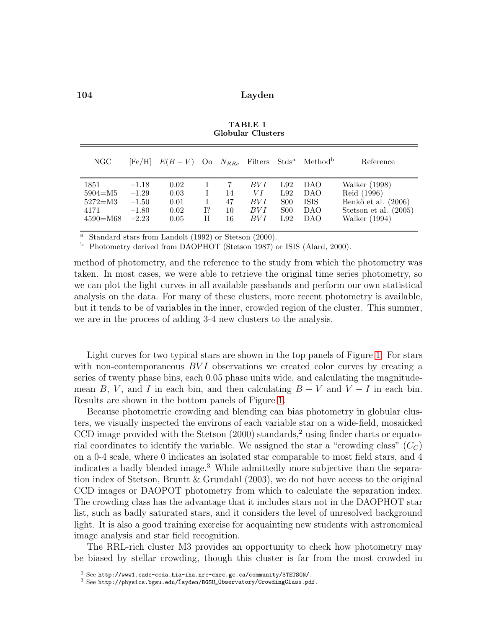| NGC                                                        | [Fe/H]                                              | $E(B-V)$ Oo $N_{RRc}$ Filters Stds <sup>a</sup> |         |                      |                                    |                                                    | Method <sup>b</sup>                     | Reference                                                                                       |
|------------------------------------------------------------|-----------------------------------------------------|-------------------------------------------------|---------|----------------------|------------------------------------|----------------------------------------------------|-----------------------------------------|-------------------------------------------------------------------------------------------------|
| 1851<br>$5904 = M5$<br>$5272 = M3$<br>4171<br>$4590 = M68$ | $-1.18$<br>$-1.29$<br>$-1.50$<br>$-1.80$<br>$-2.23$ | 0.02<br>0.03<br>0.01<br>0.02<br>0.05            | 1?<br>Н | 14<br>47<br>10<br>16 | BV I<br>VΙ<br>BV I<br>BV I<br>BV I | L92<br>L92<br><b>S00</b><br>S <sub>00</sub><br>L92 | DAO<br>DAO<br><b>ISIS</b><br>DAO<br>DAO | Walker (1998)<br>Reid (1996)<br>Benkő et al. (2006)<br>Stetson et al. $(2005)$<br>Walker (1994) |

TABLE 1 Globular Clusters

Standard stars from Landolt (1992) or Stetson (2000).

<sup>b</sup> Photometry derived from DAOPHOT (Stetson 1987) or ISIS (Alard, 2000).

method of photometry, and the reference to the study from which the photometry was taken. In most cases, we were able to retrieve the original time series photometry, so we can plot the light curves in all available passbands and perform our own statistical analysis on the data. For many of these clusters, more recent photometry is available, but it tends to be of variables in the inner, crowded region of the cluster. This summer, we are in the process of adding 3-4 new clusters to the analysis.

Light curves for two typical stars are shown in the top panels of Figure [1.](#page-3-0) For stars with non-contemporaneous  $BVI$  observations we created color curves by creating a series of twenty phase bins, each 0.05 phase units wide, and calculating the magnitudemean B, V, and I in each bin, and then calculating  $B - V$  and  $V - I$  in each bin. Results are shown in the bottom panels of Figure [1.](#page-3-0)

Because photometric crowding and blending can bias photometry in globular clusters, we visually inspected the environs of each variable star on a wide-field, mosaicked CCD image provided with the Stetson  $(2000)$  standards,<sup>2</sup> using finder charts or equatorial coordinates to identify the variable. We assigned the star a "crowding class"  $(C_C)$ on a 0-4 scale, where 0 indicates an isolated star comparable to most field stars, and 4 indicates a badly blended image.<sup>3</sup> While admittedly more subjective than the separation index of Stetson, Bruntt  $&$  Grundahl (2003), we do not have access to the original CCD images or DAOPOT photometry from which to calculate the separation index. The crowding class has the advantage that it includes stars not in the DAOPHOT star list, such as badly saturated stars, and it considers the level of unresolved background light. It is also a good training exercise for acquainting new students with astronomical image analysis and star field recognition.

The RRL-rich cluster M3 provides an opportunity to check how photometry may be biased by stellar crowding, though this cluster is far from the most crowded in

<sup>2</sup> See http://www1.cadc-ccda.hia-iha.nrc-cnrc.gc.ca/community/STETSON/.

 $3$  See http://physics.bgsu.edu/layden/BGSU\_Observatory/CrowdingClass.pdf.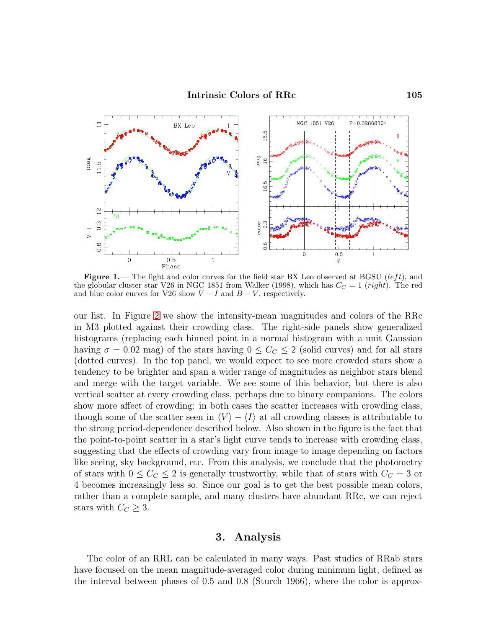

<span id="page-3-0"></span>Figure 1.— The light and color curves for the field star BX Leo observed at BGSU (left), and the globular cluster star V26 in NGC 1851 from Walker (1998), which has  $C_C = 1$  (right). The red and blue color curves for V26 show  $V - I$  and  $B - V$ , respectively.

our list. In Figure [2](#page-4-0) we show the intensity-mean magnitudes and colors of the RRc in M3 plotted against their crowding class. The right-side panels show generalized histograms (replacing each binned point in a normal histogram with a unit Gaussian having  $\sigma = 0.02$  mag) of the stars having  $0 \leq C<sub>C</sub> \leq 2$  (solid curves) and for all stars (dotted curves). In the top panel, we would expect to see more crowded stars show a tendency to be brighter and span a wider range of magnitudes as neighbor stars blend and merge with the target variable. We see some of this behavior, but there is also vertical scatter at every crowding class, perhaps due to binary companions. The colors show more affect of crowding: in both cases the scatter increases with crowding class, though some of the scatter seen in  $\langle V \rangle - \langle I \rangle$  at all crowding classes is attributable to the strong period-dependence described below. Also shown in the figure is the fact that the point-to-point scatter in a star's light curve tends to increase with crowding class, suggesting that the effects of crowding vary from image to image depending on factors like seeing, sky background, etc. From this analysis, we conclude that the photometry of stars with  $0 \leq C_{C} \leq 2$  is generally trustworthy, while that of stars with  $C_{C} = 3$  or 4 becomes increasingly less so. Since our goal is to get the best possible mean colors, rather than a complete sample, and many clusters have abundant RRc, we can reject stars with  $C_C \geq 3$ .

# 3. Analysis

The color of an RRL can be calculated in many ways. Past studies of RRab stars have focused on the mean magnitude-averaged color during minimum light, defined as the interval between phases of 0.5 and 0.8 (Sturch 1966), where the color is approx-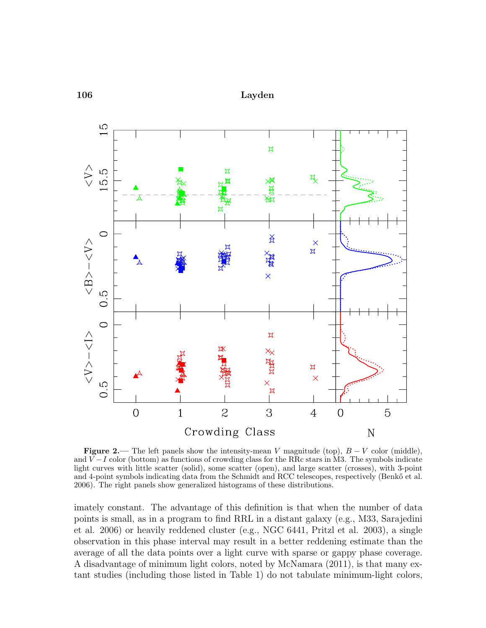

<span id="page-4-0"></span>**Figure 2.—** The left panels show the intensity-mean V magnitude (top),  $B - V$  color (middle), and  $V-I$  color (bottom) as functions of crowding class for the RRc stars in M3. The symbols indicate light curves with little scatter (solid), some scatter (open), and large scatter (crosses), with 3-point and 4-point symbols indicating data from the Schmidt and RCC telescopes, respectively (Benkő et al. 2006). The right panels show generalized histograms of these distributions.

imately constant. The advantage of this definition is that when the number of data points is small, as in a program to find RRL in a distant galaxy (e.g., M33, Sarajedini et al. 2006) or heavily reddened cluster (e.g., NGC 6441, Pritzl et al. 2003), a single observation in this phase interval may result in a better reddening estimate than the average of all the data points over a light curve with sparse or gappy phase coverage. A disadvantage of minimum light colors, noted by McNamara (2011), is that many extant studies (including those listed in Table 1) do not tabulate minimum-light colors,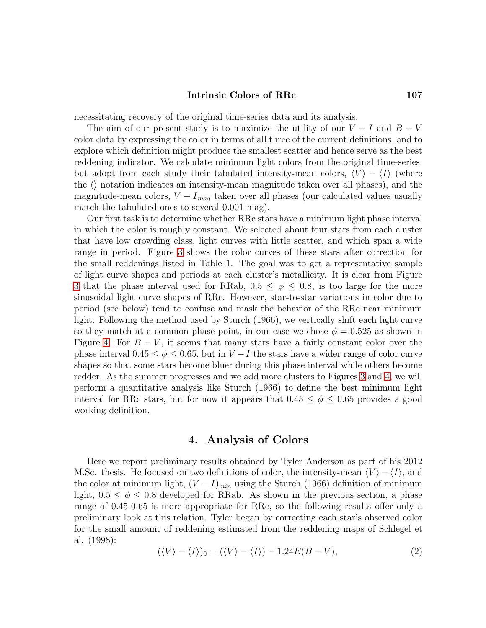### Intrinsic Colors of RRc 107

necessitating recovery of the original time-series data and its analysis.

The aim of our present study is to maximize the utility of our  $V - I$  and  $B - V$ color data by expressing the color in terms of all three of the current definitions, and to explore which definition might produce the smallest scatter and hence serve as the best reddening indicator. We calculate minimum light colors from the original time-series, but adopt from each study their tabulated intensity-mean colors,  $\langle V \rangle - \langle I \rangle$  (where the  $\langle \rangle$  notation indicates an intensity-mean magnitude taken over all phases), and the magnitude-mean colors,  $V - I_{mag}$  taken over all phases (our calculated values usually match the tabulated ones to several 0.001 mag).

Our first task is to determine whether RRc stars have a minimum light phase interval in which the color is roughly constant. We selected about four stars from each cluster that have low crowding class, light curves with little scatter, and which span a wide range in period. Figure [3](#page-6-0) shows the color curves of these stars after correction for the small reddenings listed in Table 1. The goal was to get a representative sample of light curve shapes and periods at each cluster's metallicity. It is clear from Figure [3](#page-6-0) that the phase interval used for RRab,  $0.5 \le \phi \le 0.8$ , is too large for the more sinusoidal light curve shapes of RRc. However, star-to-star variations in color due to period (see below) tend to confuse and mask the behavior of the RRc near minimum light. Following the method used by Sturch (1966), we vertically shift each light curve so they match at a common phase point, in our case we chose  $\phi = 0.525$  as shown in Figure [4.](#page-7-0) For  $B - V$ , it seems that many stars have a fairly constant color over the phase interval  $0.45 \le \phi \le 0.65$ , but in  $V-I$  the stars have a wider range of color curve shapes so that some stars become bluer during this phase interval while others become redder. As the summer progresses and we add more clusters to Figures [3](#page-6-0) and [4,](#page-7-0) we will perform a quantitative analysis like Sturch (1966) to define the best minimum light interval for RRc stars, but for now it appears that  $0.45 \le \phi \le 0.65$  provides a good working definition.

# 4. Analysis of Colors

Here we report preliminary results obtained by Tyler Anderson as part of his 2012 M.Sc. thesis. He focused on two definitions of color, the intensity-mean  $\langle V \rangle - \langle I \rangle$ , and the color at minimum light,  $(V-I)_{min}$  using the Sturch (1966) definition of minimum light,  $0.5 \le \phi \le 0.8$  developed for RRab. As shown in the previous section, a phase range of 0.45-0.65 is more appropriate for RRc, so the following results offer only a preliminary look at this relation. Tyler began by correcting each star's observed color for the small amount of reddening estimated from the reddening maps of Schlegel et al. (1998):

$$
(\langle V \rangle - \langle I \rangle)_0 = (\langle V \rangle - \langle I \rangle) - 1.24E(B - V), \tag{2}
$$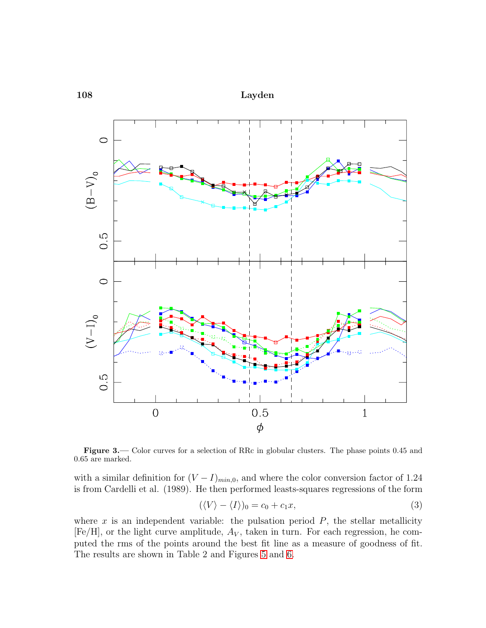

<span id="page-6-0"></span>Figure 3.— Color curves for a selection of RRc in globular clusters. The phase points 0.45 and 0.65 are marked.

with a similar definition for  $(V - I)_{min,0}$ , and where the color conversion factor of 1.24 is from Cardelli et al. (1989). He then performed leasts-squares regressions of the form

$$
(\langle V \rangle - \langle I \rangle)_0 = c_0 + c_1 x,\tag{3}
$$

where x is an independent variable: the pulsation period  $P$ , the stellar metallicity [Fe/H], or the light curve amplitude,  $A_V$ , taken in turn. For each regression, he computed the rms of the points around the best fit line as a measure of goodness of fit. The results are shown in Table 2 and Figures [5](#page-9-0) and [6.](#page-10-0)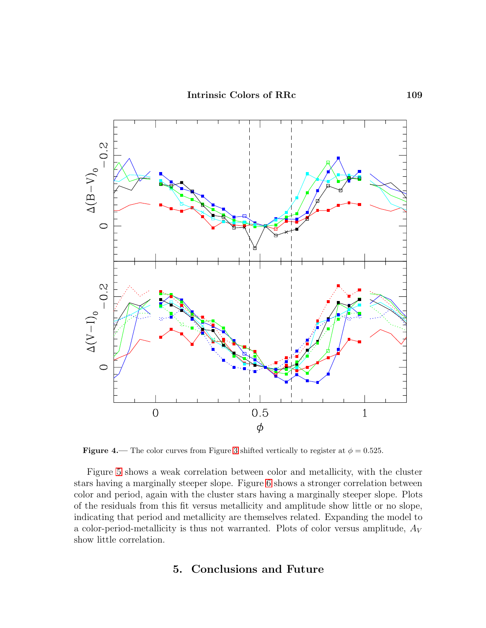

<span id="page-7-0"></span>**Figure 4.**— The color curves from Figure [3](#page-6-0) shifted vertically to register at  $\phi = 0.525$ .

Figure [5](#page-9-0) shows a weak correlation between color and metallicity, with the cluster stars having a marginally steeper slope. Figure [6](#page-10-0) shows a stronger correlation between color and period, again with the cluster stars having a marginally steeper slope. Plots of the residuals from this fit versus metallicity and amplitude show little or no slope, indicating that period and metallicity are themselves related. Expanding the model to a color-period-metallicity is thus not warranted. Plots of color versus amplitude,  $A_V$ show little correlation.

# 5. Conclusions and Future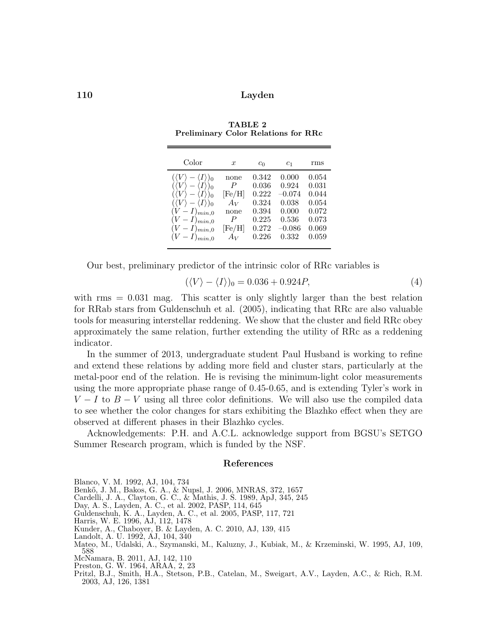| Color                                                                                                                                                                                                                                                                                                 | $\boldsymbol{x}$                                                                            | $c_0$                                                                | c <sub>1</sub>                                                             | rms                                                                  |
|-------------------------------------------------------------------------------------------------------------------------------------------------------------------------------------------------------------------------------------------------------------------------------------------------------|---------------------------------------------------------------------------------------------|----------------------------------------------------------------------|----------------------------------------------------------------------------|----------------------------------------------------------------------|
| $-\langle I \rangle_0$<br>$(\langle V \rangle)$<br>$\langle I \rangle$ <sub>0</sub><br>$(\langle V \rangle)$<br>$\langle I \rangle$ <sub>0</sub><br>$(\langle V \rangle -$<br>$(\langle V \rangle - \langle I \rangle)_0$<br>$(V-I)_{min,0}$<br>$(V-I)_{min,0}$<br>$(V-I)_{min,0}$<br>$(V-I)_{min,0}$ | none<br>$\boldsymbol{P}$<br>$[{\rm Fe/H}]$<br>$A_V$<br>none<br>P<br>$[{\rm Fe/H}]$<br>$A_V$ | 0.342<br>0.036<br>0.222<br>0.324<br>0.394<br>0.225<br>0.272<br>0.226 | 0.000<br>0.924<br>$-0.074$<br>0.038<br>0.000<br>0.536<br>$-0.086$<br>0.332 | 0.054<br>0.031<br>0.044<br>0.054<br>0.072<br>0.073<br>0.069<br>0.059 |
|                                                                                                                                                                                                                                                                                                       |                                                                                             |                                                                      |                                                                            |                                                                      |

TABLE 2 Preliminary Color Relations for RRc

Our best, preliminary predictor of the intrinsic color of RRc variables is

$$
(\langle V \rangle - \langle I \rangle)_0 = 0.036 + 0.924P,\tag{4}
$$

with  $\text{rms} = 0.031$  mag. This scatter is only slightly larger than the best relation for RRab stars from Guldenschuh et al. (2005), indicating that RRc are also valuable tools for measuring interstellar reddening. We show that the cluster and field RRc obey approximately the same relation, further extending the utility of RRc as a reddening indicator.

In the summer of 2013, undergraduate student Paul Husband is working to refine and extend these relations by adding more field and cluster stars, particularly at the metal-poor end of the relation. He is revising the minimum-light color measurements using the more appropriate phase range of 0.45-0.65, and is extending Tyler's work in  $V - I$  to  $B - V$  using all three color definitions. We will also use the compiled data to see whether the color changes for stars exhibiting the Blazhko effect when they are observed at different phases in their Blazhko cycles.

Acknowledgements: P.H. and A.C.L. acknowledge support from BGSU's SETGO Summer Research program, which is funded by the NSF.

#### References

Blanco, V. M. 1992, AJ, 104, 734

Benkő, J. M., Bakos, G. A., & Nupsl, J. 2006, MNRAS, 372, 1657

Cardelli, J. A., Clayton, G. C., & Mathis, J. S. 1989, ApJ, 345, 245

- Day, A. S., Layden, A. C., et al. 2002, PASP, 114, 645
- Guldenschuh, K. A., Layden, A. C., et al. 2005, PASP, 117, 721
- Harris, W. E. 1996, AJ, 112, 1478
- Kunder, A., Chaboyer, B. & Layden, A. C. 2010, AJ, 139, 415
- Landolt, A. U. 1992, AJ, 104, 340
- Mateo, M., Udalski, A., Szymanski, M., Kaluzny, J., Kubiak, M., & Krzeminski, W. 1995, AJ, 109, 588 McNamara, B. 2011, AJ, 142, 110
- Preston, G. W. 1964, ARAA, 2, 23
- Pritzl, B.J., Smith, H.A., Stetson, P.B., Catelan, M., Sweigart, A.V., Layden, A.C., & Rich, R.M. 2003, AJ, 126, 1381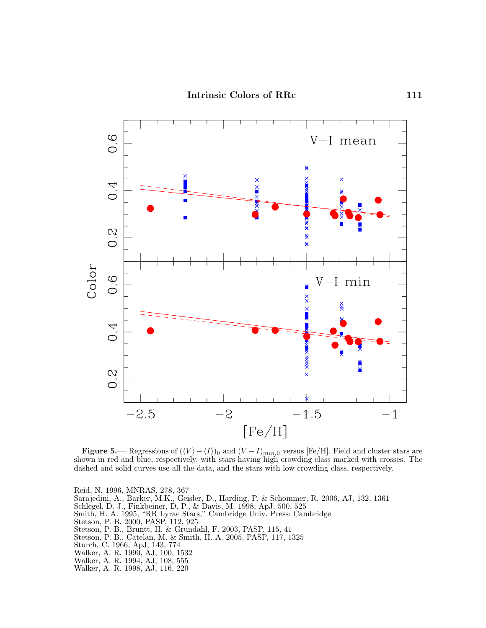

<span id="page-9-0"></span>**Figure 5.**— Regressions of  $(\langle V \rangle - \langle I \rangle)_0$  and  $(V - I)_{min,0}$  versus [Fe/H]. Field and cluster stars are shown in red and blue, respectively, with stars having high crowding class marked with crosses. The dashed and solid curves use all the data, and the stars with low crowding class, respectively.

Reid, N. 1996, MNRAS, 278, 367 Sarajedini, A., Barker, M.K., Geisler, D., Harding, P. & Schommer, R. 2006, AJ, 132, 1361 Schlegel, D. J., Finkbeiner, D. P., & Davis, M. 1998, ApJ, 500, 525 Smith, H. A. 1995, "RR Lyrae Stars," Cambridge Univ. Press: Cambridge Stetson, P. B. 2000, PASP, 112, 925 Stetson, P. B., Bruntt, H. & Grundahl, F. 2003, PASP, 115, 41 Stetson, P. B., Catelan, M. & Smith, H. A. 2005, PASP, 117, 1325 Sturch, C. 1966, ApJ, 143, 774 Walker, A. R. 1990, AJ, 100, 1532 Walker, A. R. 1994, AJ, 108, 555 Walker, A. R. 1998, AJ, 116, 220